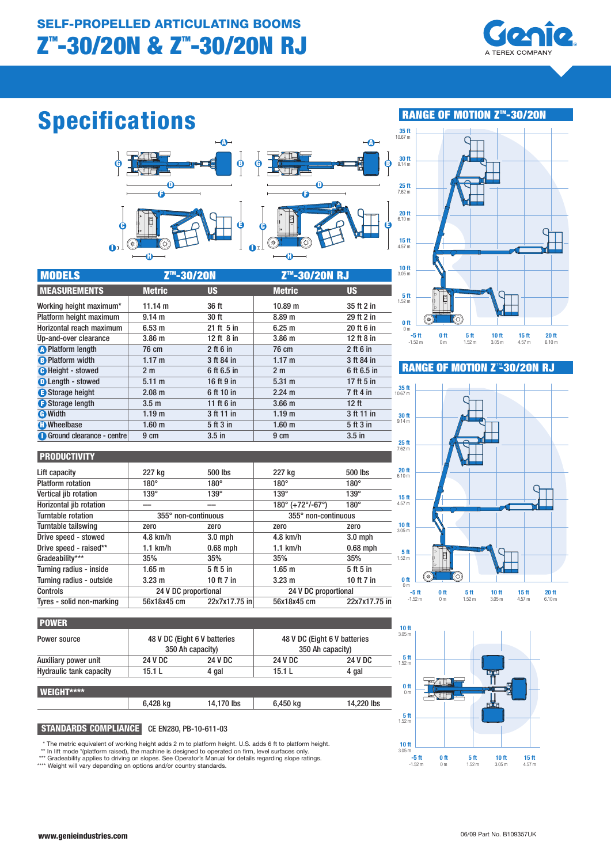

## Specifications



| <b>MODELS</b>             | Z <sup>™</sup> -30/20N |                | Z <sup>™</sup> -30/20N RJ |              |
|---------------------------|------------------------|----------------|---------------------------|--------------|
| <b>MEASUREMENTS</b>       | <b>Metric</b>          | <b>US</b>      | <b>Metric</b>             | <b>US</b>    |
| Working height maximum*   | 11.14 m                | 36 ft          | 10.89 m                   | 35 ft 2 in   |
| Platform height maximum   | 9.14 <sub>m</sub>      | 30 ft          | 8.89 <sub>m</sub>         | 29 ft 2 in   |
| Horizontal reach maximum  | 6.53 <sub>m</sub>      | $21$ ft $5$ in | 6.25 m                    | 20 ft 6 in   |
| Up-and-over clearance     | 3.86 <sub>m</sub>      | 12 ft $8$ in   | 3.86 <sub>m</sub>         | 12 ft 8 in   |
| <b>A</b> Platform length  | 76 cm                  | $2$ ft 6 in    | 76 cm                     | $2$ ft 6 in  |
| <b>B</b> Platform width   | $1.17 \text{ m}$       | 3 ft 84 in     | $1.17 \text{ m}$          | 3 ft 84 in   |
| <b>O</b> Height - stowed  | 2 <sub>m</sub>         | 6 ft 6.5 in    | 2 <sub>m</sub>            | 6 ft 6.5 in  |
| <b>O</b> Length - stowed  | $5.11 \text{ m}$       | 16 ft 9 in     | $5.31 \text{ m}$          | 17 ft $5$ in |
| Storage height            | $2.08$ m               | 6 ft 10 in     | $2.24 \text{ m}$          | 7 ft 4 in    |
| Storage length            | 3.5 <sub>m</sub>       | 11 ft 6 in     | 3.66 <sub>m</sub>         | 12 ft        |
| <b>O</b> Width            | 1.19 <sub>m</sub>      | 3 ft 11 in     | 1.19 <sub>m</sub>         | 3 ft 11 in   |
| <b>C</b> Wheelbase        | 1.60 <sub>m</sub>      | 5 ft 3 in      | 1.60 <sub>m</sub>         | 5 ft 3 in    |
| Ground clearance - centre | 9 cm                   | $3.5$ in       | 9 cm                      | $3.5$ in     |

Lift capacity **227 kg** 500 lbs 227 kg 500 lbs 500 lbs Platform rotation  $180^\circ$  180° 180° 180° 180° Vertical jib rotation 139° 139° 139° 139° 139 Horizontal jib rotation –– – – 180° (+72°/-67°) 180° Turntable rotation 355° non-continuous 355° non-continuous Turntable tailswing zero zero zero zero Drive speed - stowed 4.8 km/h 3.0 mph 4.8 km/h 3.0 mph Drive speed - raised\*\*  $1.1 \text{ km/h}$  0.68 mph 1.1 km/h 0.68 mph Gradeability\*\*\* 35% 35% 35% 35% 35% 35% Turning radius - inside 1.65 m 5 ft 5 in 1.65 m 5 ft 5 in Turning radius - outside 3.23 m 10 ft 7 in 3.23 m 10 ft 7 in Controls 24 V DC proportional 24 V DC proportional 24 V DC proportional

## RANGE OF MOTION Z<sup>™</sup>-30/20N



## **RANGE OF MOTION Z<sup>™</sup>-30/20N RJ**



| <b>POWER</b>                   |                                                  |                |                                                  |                |
|--------------------------------|--------------------------------------------------|----------------|--------------------------------------------------|----------------|
| Power source                   | 48 V DC (Eight 6 V batteries<br>350 Ah capacity) |                | 48 V DC (Eight 6 V batteries<br>350 Ah capacity) |                |
| Auxiliary power unit           | 24 V DC                                          | <b>24 V DC</b> | <b>24 V DC</b>                                   | <b>24 V DC</b> |
| <b>Hydraulic tank capacity</b> | 15.1 L                                           | 4 gal          | 15.1 L                                           | 4 gal          |
| WEIGHT****                     |                                                  |                |                                                  |                |
|                                | 6,428 kg                                         | 14,170 lbs     | 6,450 kg                                         | 14,220 lbs     |

Tyres - solid non-marking 56x18x45 cm 22x7x17.75 in 56x18x45 cm 22x7x17.75 in

#### STANDARDS COMPLIANCE CE EN280, PB-10-611-03

The metric equivalent of working height adds 2 m to platform height. U.S. adds 6 ft to platform height.

\*\* In lift mode \*(platform raised), the machine is designed to operated on firm, level surfaces only.

\*\*\* Gradeability applies to driving on slopes. See Operator's Manual for details regarding slope ratings. \*\*\*\* Weight will vary depending on options and/or country standards.

10 ft 3.05 m  $\frac{5}{1.52}$  m J<del>an</del> 0 ft  $n<sub>n</sub>$ नेता  $\frac{5}{1.52}$  m  $\frac{10 \text{ ft}}{3.05 \text{ ft}}$ -5 ft 0 ft 5 ft 10 ft 15 ft -1.52 m 0 m 1.52 m 3.05 m 4.57 m

**PRODUCTIVITY**